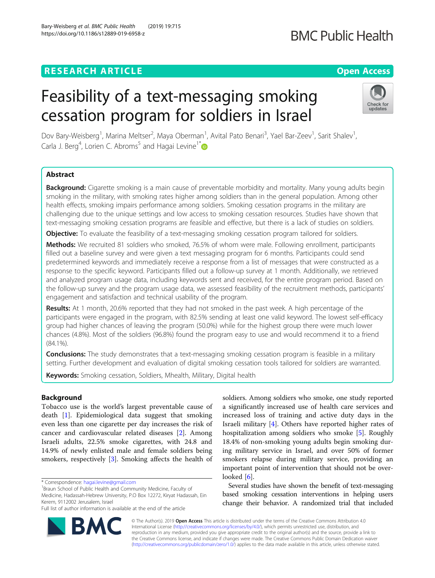## **RESEARCH ARTICLE Example 2014 12:30 The Contract of Contract ACCESS**

# Feasibility of a text-messaging smoking cessation program for soldiers in Israel

Dov Bary-Weisberg<sup>1</sup>, Marina Meltser<sup>2</sup>, Maya Oberman<sup>1</sup>, Avital Pato Benari<sup>3</sup>, Yael Bar-Zeev<sup>1</sup>, Sarit Shalev<sup>1</sup> , Carla J. Berg<sup>4</sup>, Lorien C. Abroms<sup>5</sup> and Hagai Levine<sup>1\*</sup>

## Abstract

Background: Cigarette smoking is a main cause of preventable morbidity and mortality. Many young adults begin smoking in the military, with smoking rates higher among soldiers than in the general population. Among other health effects, smoking impairs performance among soldiers. Smoking cessation programs in the military are challenging due to the unique settings and low access to smoking cessation resources. Studies have shown that text-messaging smoking cessation programs are feasible and effective, but there is a lack of studies on soldiers.

**Objective:** To evaluate the feasibility of a text-messaging smoking cessation program tailored for soldiers.

Methods: We recruited 81 soldiers who smoked, 76.5% of whom were male. Following enrollment, participants filled out a baseline survey and were given a text messaging program for 6 months. Participants could send predetermined keywords and immediately receive a response from a list of messages that were constructed as a response to the specific keyword. Participants filled out a follow-up survey at 1 month. Additionally, we retrieved and analyzed program usage data, including keywords sent and received, for the entire program period. Based on the follow-up survey and the program usage data, we assessed feasibility of the recruitment methods, participants' engagement and satisfaction and technical usability of the program.

Results: At 1 month, 20.6% reported that they had not smoked in the past week. A high percentage of the participants were engaged in the program, with 82.5% sending at least one valid keyword. The lowest self-efficacy group had higher chances of leaving the program (50.0%) while for the highest group there were much lower chances (4.8%). Most of the soldiers (96.8%) found the program easy to use and would recommend it to a friend (84.1%).

**Conclusions:** The study demonstrates that a text-messaging smoking cessation program is feasible in a military setting. Further development and evaluation of digital smoking cessation tools tailored for soldiers are warranted.

Keywords: Smoking cessation, Soldiers, Mhealth, Military, Digital health

## Background

Tobacco use is the world's largest preventable cause of death [\[1](#page-8-0)]. Epidemiological data suggest that smoking even less than one cigarette per day increases the risk of cancer and cardiovascular related diseases [\[2\]](#page-8-0). Among Israeli adults, 22.5% smoke cigarettes, with 24.8 and 14.9% of newly enlisted male and female soldiers being smokers, respectively [[3\]](#page-8-0). Smoking affects the health of

\* Correspondence: [hagai.levine@gmail.com](mailto:hagai.levine@gmail.com) <sup>1</sup>

<sup>1</sup> Braun School of Public Health and Community Medicine, Faculty of Medicine, Hadassah-Hebrew University, P.O Box 12272, Kiryat Hadassah, Ein Kerem, 9112002 Jerusalem, Israel

Full list of author information is available at the end of the article

soldiers. Among soldiers who smoke, one study reported a significantly increased use of health care services and increased loss of training and active duty days in the Israeli military [\[4](#page-8-0)]. Others have reported higher rates of hospitalization among soldiers who smoke [[5\]](#page-8-0). Roughly 18.4% of non-smoking young adults begin smoking during military service in Israel, and over 50% of former smokers relapse during military service, providing an important point of intervention that should not be over-looked [\[6](#page-8-0)].

Several studies have shown the benefit of text-messaging based smoking cessation interventions in helping users change their behavior. A randomized trial that included

© The Author(s). 2019 Open Access This article is distributed under the terms of the Creative Commons Attribution 4.0 International License [\(http://creativecommons.org/licenses/by/4.0/](http://creativecommons.org/licenses/by/4.0/)), which permits unrestricted use, distribution, and reproduction in any medium, provided you give appropriate credit to the original author(s) and the source, provide a link to the Creative Commons license, and indicate if changes were made. The Creative Commons Public Domain Dedication waiver [\(http://creativecommons.org/publicdomain/zero/1.0/](http://creativecommons.org/publicdomain/zero/1.0/)) applies to the data made available in this article, unless otherwise stated.





# **BMC Public Health**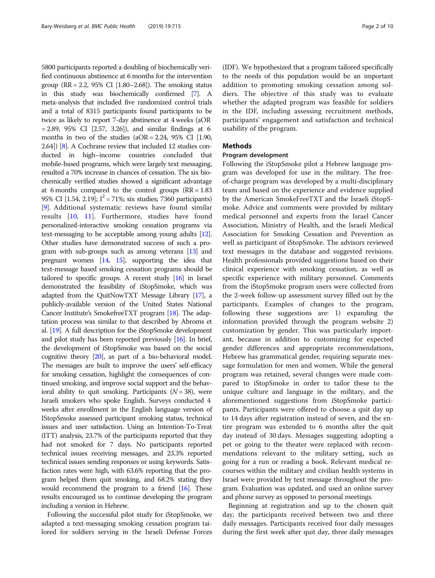5800 participants reported a doubling of biochemically verified continuous abstinence at 6 months for the intervention group ( $RR = 2.2$ , 95% CI  $[1.80 - 2.68]$ ). The smoking status in this study was biochemically confirmed [\[7\]](#page-8-0). A meta-analysis that included five randomized control trials and a total of 8315 participants found participants to be twice as likely to report 7-day abstinence at 4 weeks (aOR  $= 2.89, 95\%$  CI  $[2.57, 3.26]$ , and similar findings at 6 months in two of the studies  $(aOR = 2.24, 95\% \text{ CI}$  [1.90, 2.64]) [[8](#page-9-0)]. A Cochrane review that included 12 studies conducted in high–income countries concluded that mobile-based programs, which were largely text messaging, resulted a 70% increase in chances of cessation. The six biochemically verified studies showed a significant advantage at 6 months compared to the control groups  $(RR = 1.83)$ 95% CI [1.54, 2.19];  $I^2 = 71\%$ ; six studies; 7360 participants) [[9](#page-9-0)]. Additional systematic reviews have found similar results [\[10](#page-9-0), [11\]](#page-9-0). Furthermore, studies have found personalized-interactive smoking cessation programs via text-messaging to be acceptable among young adults [\[12](#page-9-0)]. Other studies have demonstrated success of such a program with sub-groups such as among veterans [[13](#page-9-0)] and pregnant women [\[14,](#page-9-0) [15](#page-9-0)], supporting the idea that text-message based smoking cessation programs should be tailored to specific groups. A recent study [\[16](#page-9-0)] in Israel demonstrated the feasibility of iStopSmoke, which was adapted from the QuitNowTXT Message Library [\[17](#page-9-0)], a publicly-available version of the United States National Cancer Institute's SmokefreeTXT program [[18](#page-9-0)]. The adaptation process was similar to that described by Abroms et al. [\[19\]](#page-9-0). A full description for the iStopSmoke development and pilot study has been reported previously [\[16\]](#page-9-0). In brief, the development of iStopSmoke was based on the social cognitive theory [\[20\]](#page-9-0), as part of a bio-behavioral model. The messages are built to improve the users' self-efficacy for smoking cessation, highlight the consequences of continued smoking, and improve social support and the behavioral ability to quit smoking. Participants  $(N = 38)$ , were Israeli smokers who spoke English. Surveys conducted 4 weeks after enrollment in the English language version of IStopSmoke assessed participant smoking status, technical issues and user satisfaction. Using an Intention-To-Treat (ITT) analysis, 23.7% of the participants reported that they had not smoked for 7 days. No participants reported technical issues receiving messages, and 23.3% reported technical issues sending responses or using keywords. Satisfaction rates were high, with 63.6% reporting that the program helped them quit smoking, and 68.2% stating they would recommend the program to a friend [[16\]](#page-9-0). These results encouraged us to continue developing the program including a version in Hebrew.

Following the successful pilot study for iStopSmoke, we adapted a text-messaging smoking cessation program tailored for soldiers serving in the Israeli Defense Forces

(IDF). We hypothesized that a program tailored specifically to the needs of this population would be an important addition to promoting smoking cessation among soldiers. The objective of this study was to evaluate whether the adapted program was feasible for soldiers in the IDF, including assessing recruitment methods, participants' engagement and satisfaction and technical usability of the program.

## **Methods**

## Program development

Following the iStopSmoke pilot a Hebrew language program was developed for use in the military. The freeof-charge program was developed by a multi-disciplinary team and based on the experience and evidence supplied by the American SmokeFreeTXT and the Israeli iStopSmoke. Advice and comments were provided by military medical personnel and experts from the Israel Cancer Association, Ministry of Health, and the Israeli Medical Association for Smoking Cessation and Prevention as well as participant of iStopSmoke. The advisors reviewed text messages in the database and suggested revisions. Health professionals provided suggestions based on their clinical experience with smoking cessation, as well as specific experience with military personnel. Comments from the iStopSmoke program users were collected from the 2-week follow-up assessment survey filled out by the participants. Examples of changes to the program, following these suggestions are: 1) expanding the information provided through the program website 2) customization by gender. This was particularly important, because in addition to customizing for expected gender differences and appropriate recommendations, Hebrew has grammatical gender, requiring separate message formulation for men and women. While the general program was retained, several changes were made compared to iStopSmoke in order to tailor these to the unique culture and language in the military, and the aforementioned suggestions from iStopSmoke participants. Participants were offered to choose a quit day up to 14 days after registration instead of seven, and the entire program was extended to 6 months after the quit day instead of 30 days. Messages suggesting adopting a pet or going to the theater were replaced with recommendations relevant to the military setting, such as going for a run or reading a book. Relevant medical recourses within the military and civilian health systems in Israel were provided by text message throughout the program. Evaluation was updated, and used an online survey and phone survey as opposed to personal meetings.

Beginning at registration and up to the chosen quit day, the participants received between two and three daily messages. Participants received four daily messages during the first week after quit day, three daily messages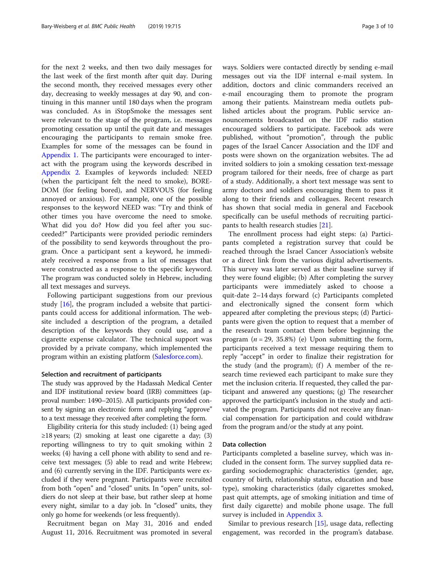for the next 2 weeks, and then two daily messages for the last week of the first month after quit day. During the second month, they received messages every other day, decreasing to weekly messages at day 90, and continuing in this manner until 180 days when the program was concluded. As in iStopSmoke the messages sent were relevant to the stage of the program, i.e. messages promoting cessation up until the quit date and messages encouraging the participants to remain smoke free. Examples for some of the messages can be found in Appendix 1. The participants were encouraged to interact with the program using the keywords described in Appendix 2. Examples of keywords included: NEED (when the participant felt the need to smoke), BORE-DOM (for feeling bored), and NERVOUS (for feeling annoyed or anxious). For example, one of the possible responses to the keyword NEED was: "Try and think of other times you have overcome the need to smoke. What did you do? How did you feel after you succeeded?" Participants were provided periodic reminders of the possibility to send keywords throughout the program. Once a participant sent a keyword, he immediately received a response from a list of messages that were constructed as a response to the specific keyword. The program was conducted solely in Hebrew, including all text messages and surveys.

Following participant suggestions from our previous study [[16](#page-9-0)], the program included a website that participants could access for additional information. The website included a description of the program, a detailed description of the keywords they could use, and a cigarette expense calculator. The technical support was provided by a private company, which implemented the program within an existing platform ([Salesforce.com](http://salesforce.com)).

## Selection and recruitment of participants

The study was approved by the Hadassah Medical Center and IDF institutional review board (IRB) committees (approval number: 1490–2015). All participants provided consent by signing an electronic form and replying "approve" to a text message they received after completing the form.

Eligibility criteria for this study included: (1) being aged  $\geq$ 18 years; (2) smoking at least one cigarette a day; (3) reporting willingness to try to quit smoking within 2 weeks; (4) having a cell phone with ability to send and receive text messages; (5) able to read and write Hebrew; and (6) currently serving in the IDF. Participants were excluded if they were pregnant. Participants were recruited from both "open" and "closed" units. In "open" units, soldiers do not sleep at their base, but rather sleep at home every night, similar to a day job. In "closed" units, they only go home for weekends (or less frequently).

Recruitment began on May 31, 2016 and ended August 11, 2016. Recruitment was promoted in several ways. Soldiers were contacted directly by sending e-mail messages out via the IDF internal e-mail system. In addition, doctors and clinic commanders received an e-mail encouraging them to promote the program among their patients. Mainstream media outlets published articles about the program. Public service announcements broadcasted on the IDF radio station encouraged soldiers to participate. Facebook ads were published, without "promotion", through the public pages of the Israel Cancer Association and the IDF and posts were shown on the organization websites. The ad invited soldiers to join a smoking cessation text-message program tailored for their needs, free of charge as part of a study. Additionally, a short text message was sent to army doctors and soldiers encouraging them to pass it along to their friends and colleagues. Recent research has shown that social media in general and Facebook specifically can be useful methods of recruiting participants to health research studies [\[21](#page-9-0)].

The enrollment process had eight steps: (a) Participants completed a registration survey that could be reached through the Israel Cancer Association's website or a direct link from the various digital advertisements. This survey was later served as their baseline survey if they were found eligible; (b) After completing the survey participants were immediately asked to choose a quit-date 2–14 days forward (c) Participants completed and electronically signed the consent form which appeared after completing the previous steps; (d) Participants were given the option to request that a member of the research team contact them before beginning the program  $(n = 29, 35.8\%)$  (e) Upon submitting the form, participants received a text message requiring them to reply "accept" in order to finalize their registration for the study (and the program); (f) A member of the research time reviewed each participant to make sure they met the inclusion criteria. If requested, they called the participant and answered any questions; (g) The researcher approved the participant's inclusion in the study and activated the program. Participants did not receive any financial compensation for participation and could withdraw from the program and/or the study at any point.

## Data collection

Participants completed a baseline survey, which was included in the consent form. The survey supplied data regarding sociodemographic characteristics (gender, age, country of birth, relationship status, education and base type), smoking characteristics (daily cigarettes smoked, past quit attempts, age of smoking initiation and time of first daily cigarette) and mobile phone usage. The full survey is included in Appendix 3.

Similar to previous research [[15\]](#page-9-0), usage data, reflecting engagement, was recorded in the program's database.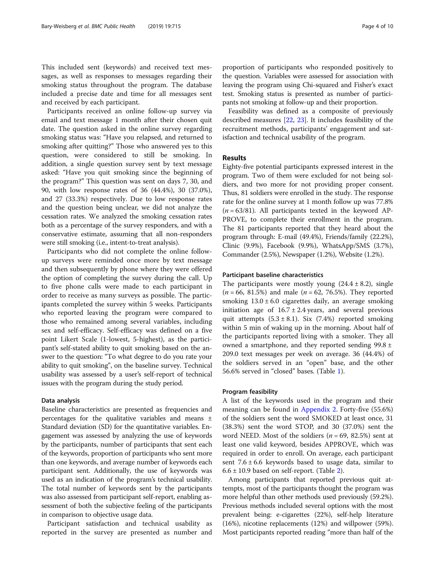This included sent (keywords) and received text messages, as well as responses to messages regarding their smoking status throughout the program. The database included a precise date and time for all messages sent and received by each participant.

Participants received an online follow-up survey via email and text message 1 month after their chosen quit date. The question asked in the online survey regarding smoking status was: "Have you relapsed, and returned to smoking after quitting?" Those who answered yes to this question, were considered to still be smoking. In addition, a single question survey sent by text message asked: "Have you quit smoking since the beginning of the program?" This question was sent on days 7, 30, and 90, with low response rates of 36 (44.4%), 30 (37.0%), and 27 (33.3%) respectively. Due to low response rates and the question being unclear, we did not analyze the cessation rates. We analyzed the smoking cessation rates both as a percentage of the survey responders, and with a conservative estimate, assuming that all non-responders were still smoking (i.e., intent-to-treat analysis).

Participants who did not complete the online followup surveys were reminded once more by text message and then subsequently by phone where they were offered the option of completing the survey during the call. Up to five phone calls were made to each participant in order to receive as many surveys as possible. The participants completed the survey within 5 weeks. Participants who reported leaving the program were compared to those who remained among several variables, including sex and self-efficacy. Self-efficacy was defined on a five point Likert Scale (1-lowest, 5-highest), as the participant's self-stated ability to quit smoking based on the answer to the question: "To what degree to do you rate your ability to quit smoking", on the baseline survey. Technical usability was assessed by a user's self-report of technical issues with the program during the study period.

## Data analysis

Baseline characteristics are presented as frequencies and percentages for the qualitative variables and means ± Standard deviation (SD) for the quantitative variables. Engagement was assessed by analyzing the use of keywords by the participants, number of participants that sent each of the keywords, proportion of participants who sent more than one keywords, and average number of keywords each participant sent. Additionally, the use of keywords was used as an indication of the program's technical usability. The total number of keywords sent by the participants was also assessed from participant self-report, enabling assessment of both the subjective feeling of the participants in comparison to objective usage data.

Participant satisfaction and technical usability as reported in the survey are presented as number and proportion of participants who responded positively to the question. Variables were assessed for association with leaving the program using Chi-squared and Fisher's exact test. Smoking status is presented as number of participants not smoking at follow-up and their proportion.

Feasibility was defined as a composite of previously described measures [[22](#page-9-0), [23\]](#page-9-0). It includes feasibility of the recruitment methods, participants' engagement and satisfaction and technical usability of the program.

## Results

Eighty-five potential participants expressed interest in the program. Two of them were excluded for not being soldiers, and two more for not providing proper consent. Thus, 81 soldiers were enrolled in the study. The response rate for the online survey at 1 month follow up was 77.8%  $(n = 63/81)$ . All participants texted in the keyword AP-PROVE, to complete their enrollment in the program. The 81 participants reported that they heard about the program through: E-mail (49.4%), Friends/family (22.2%), Clinic (9.9%), Facebook (9.9%), WhatsApp/SMS (3.7%), Commander (2.5%), Newspaper (1.2%), Website (1.2%).

## Participant baseline characteristics

The participants were mostly young  $(24.4 \pm 8.2)$ , single  $(n = 66, 81.5\%)$  and male  $(n = 62, 76.5\%).$  They reported smoking  $13.0 \pm 6.0$  cigarettes daily, an average smoking initiation age of  $16.7 \pm 2.4$  years, and several previous quit attempts  $(5.3 \pm 8.1)$ . Six  $(7.4\%)$  reported smoking within 5 min of waking up in the morning. About half of the participants reported living with a smoker. They all owned a smartphone, and they reported sending 99.8 ± 209.0 text messages per week on average. 36 (44.4%) of the soldiers served in an "open" base, and the other 56.6% served in "closed" bases. (Table [1\)](#page-4-0).

#### Program feasibility

A list of the keywords used in the program and their meaning can be found in Appendix 2. Forty-five (55.6%) of the soldiers sent the word SMOKED at least once, 31 (38.3%) sent the word STOP, and 30 (37.0%) sent the word NEED. Most of the soldiers ( $n = 69$ , 82.5%) sent at least one valid keyword, besides APPROVE, which was required in order to enroll. On average, each participant sent  $7.6 \pm 6.6$  keywords based to usage data, similar to  $6.6 \pm 10.9$  based on self-report. (Table [2](#page-5-0)).

Among participants that reported previous quit attempts, most of the participants thought the program was more helpful than other methods used previously (59.2%). Previous methods included several options with the most prevalent being: e-cigarettes (22%), self-help literature (16%), nicotine replacements (12%) and willpower (59%). Most participants reported reading "more than half of the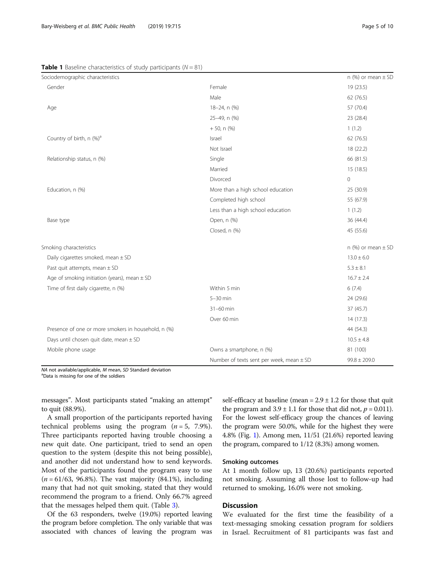<span id="page-4-0"></span>

| <b>Table 1</b> Baseline characteristics of study participants ( $N = 81$ ) |  |
|----------------------------------------------------------------------------|--|
|----------------------------------------------------------------------------|--|

| Sociodemographic characteristics                    |                                              | n (%) or mean $\pm$ SD   |
|-----------------------------------------------------|----------------------------------------------|--------------------------|
| Gender                                              | Female                                       | 19 (23.5)                |
|                                                     | Male                                         | 62 (76.5)                |
| Age                                                 | 18-24, n (%)                                 | 57 (70.4)                |
|                                                     | 25-49, n (%)                                 | 23 (28.4)                |
|                                                     | $+50$ , n $(\%)$                             | 1(1.2)                   |
| Country of birth, n (%) <sup>a</sup>                | Israel                                       | 62 (76.5)                |
|                                                     | Not Israel                                   | 18 (22.2)                |
| Relationship status, n (%)                          | Single                                       | 66 (81.5)                |
|                                                     | Married                                      | 15(18.5)                 |
|                                                     | Divorced                                     | 0                        |
| Education, n (%)                                    | More than a high school education            | 25 (30.9)                |
|                                                     | Completed high school                        | 55 (67.9)                |
|                                                     | Less than a high school education            | 1(1.2)                   |
| Base type                                           | Open, n (%)                                  | 36 (44.4)                |
|                                                     | Closed, n (%)                                | 45 (55.6)                |
| Smoking characteristics                             |                                              | $n$ (%) or mean $\pm$ SD |
| Daily cigarettes smoked, mean $\pm$ SD              |                                              | $13.0 \pm 6.0$           |
| Past quit attempts, mean $\pm$ SD                   |                                              | $5.3 \pm 8.1$            |
| Age of smoking initiation (years), mean $\pm$ SD    |                                              | $16.7 \pm 2.4$           |
| Time of first daily cigarette, n (%)                | Within 5 min                                 | 6(7.4)                   |
|                                                     | $5-30$ min                                   | 24 (29.6)                |
|                                                     | 31-60 min                                    | 37 (45.7)                |
|                                                     | Over 60 min                                  | 14 (17.3)                |
| Presence of one or more smokers in household, n (%) |                                              | 44 (54.3)                |
| Days until chosen quit date, mean $\pm$ SD          |                                              | $10.5 \pm 4.8$           |
| Mobile phone usage                                  | Owns a smartphone, n (%)                     | 81 (100)                 |
|                                                     | Number of texts sent per week, mean $\pm$ SD | $99.8 \pm 209.0$         |

NA not available/applicable, M mean, SD Standard deviation Data is missing for one of the soldiers

messages". Most participants stated "making an attempt" to quit (88.9%).

A small proportion of the participants reported having technical problems using the program  $(n = 5, 7.9\%).$ Three participants reported having trouble choosing a new quit date. One participant, tried to send an open question to the system (despite this not being possible), and another did not understand how to send keywords. Most of the participants found the program easy to use  $(n = 61/63, 96.8\%)$ . The vast majority (84.1%), including many that had not quit smoking, stated that they would recommend the program to a friend. Only 66.7% agreed that the messages helped them quit. (Table [3](#page-5-0)).

Of the 63 responders, twelve (19.0%) reported leaving the program before completion. The only variable that was associated with chances of leaving the program was self-efficacy at baseline (mean =  $2.9 \pm 1.2$  for those that quit the program and  $3.9 \pm 1.1$  for those that did not,  $p = 0.011$ ). For the lowest self-efficacy group the chances of leaving the program were 50.0%, while for the highest they were 4.8% (Fig. [1](#page-6-0)). Among men, 11/51 (21.6%) reported leaving the program, compared to 1/12 (8.3%) among women.

## Smoking outcomes

At 1 month follow up, 13 (20.6%) participants reported not smoking. Assuming all those lost to follow-up had returned to smoking, 16.0% were not smoking.

## **Discussion**

We evaluated for the first time the feasibility of a text-messaging smoking cessation program for soldiers in Israel. Recruitment of 81 participants was fast and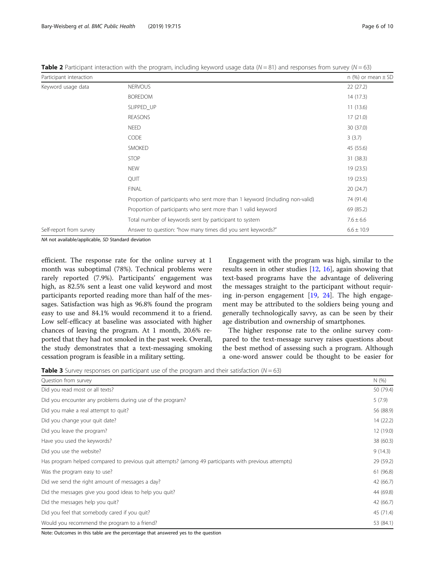| Participant interaction |                                                                               | n $(\%)$ or mean $\pm$ SD |
|-------------------------|-------------------------------------------------------------------------------|---------------------------|
| Keyword usage data      | <b>NERVOUS</b>                                                                | 22(27.2)                  |
|                         | <b>BOREDOM</b>                                                                | 14 (17.3)                 |
|                         | SLIPPED_UP                                                                    | 11(13.6)                  |
|                         | <b>REASONS</b>                                                                | 17(21.0)                  |
|                         | <b>NEED</b>                                                                   | 30 (37.0)                 |
|                         | CODE                                                                          | 3(3.7)                    |
|                         | SMOKED                                                                        | 45 (55.6)                 |
|                         | <b>STOP</b>                                                                   | 31(38.3)                  |
|                         | <b>NEW</b>                                                                    | 19 (23.5)                 |
|                         | QUIT                                                                          | 19 (23.5)                 |
|                         | <b>FINAL</b>                                                                  | 20(24.7)                  |
|                         | Proportion of participants who sent more than 1 keyword (including non-valid) | 74 (91.4)                 |
|                         | Proportion of participants who sent more than 1 valid keyword                 | 69 (85.2)                 |
|                         | Total number of keywords sent by participant to system                        | $7.6 \pm 6.6$             |
| Self-report from survey | Answer to question: "how many times did you sent keywords?"                   | $6.6 \pm 10.9$            |

<span id="page-5-0"></span>**Table 2** Participant interaction with the program, including keyword usage data ( $N = 81$ ) and responses from survey ( $N = 63$ )

NA not available/applicable, SD Standard deviation

efficient. The response rate for the online survey at 1 month was suboptimal (78%). Technical problems were rarely reported (7.9%). Participants' engagement was high, as 82.5% sent a least one valid keyword and most participants reported reading more than half of the messages. Satisfaction was high as 96.8% found the program easy to use and 84.1% would recommend it to a friend. Low self-efficacy at baseline was associated with higher chances of leaving the program. At 1 month, 20.6% reported that they had not smoked in the past week. Overall, the study demonstrates that a text-messaging smoking cessation program is feasible in a military setting.

Engagement with the program was high, similar to the results seen in other studies [[12,](#page-9-0) [16](#page-9-0)], again showing that text-based programs have the advantage of delivering the messages straight to the participant without requiring in-person engagement [[19,](#page-9-0) [24\]](#page-9-0). The high engagement may be attributed to the soldiers being young and generally technologically savvy, as can be seen by their age distribution and ownership of smartphones.

The higher response rate to the online survey compared to the text-message survey raises questions about the best method of assessing such a program. Although a one-word answer could be thought to be easier for

**Table 3** Survey responses on participant use of the program and their satisfaction ( $N = 63$ )

| Did you read most or all texts?<br>50 (79.4)<br>Did you encounter any problems during use of the program?<br>5(7.9)<br>Did you make a real attempt to quit?<br>56 (88.9)<br>14(22.2)<br>Did you change your quit date?<br>12 (19.0)<br>Did you leave the program? |
|-------------------------------------------------------------------------------------------------------------------------------------------------------------------------------------------------------------------------------------------------------------------|
|                                                                                                                                                                                                                                                                   |
|                                                                                                                                                                                                                                                                   |
|                                                                                                                                                                                                                                                                   |
|                                                                                                                                                                                                                                                                   |
|                                                                                                                                                                                                                                                                   |
| Have you used the keywords?<br>38 (60.3)                                                                                                                                                                                                                          |
| Did you use the website?<br>9(14.3)                                                                                                                                                                                                                               |
| Has program helped compared to previous quit attempts? (among 49 participants with previous attempts)<br>29 (59.2)                                                                                                                                                |
| Was the program easy to use?<br>61(96.8)                                                                                                                                                                                                                          |
| Did we send the right amount of messages a day?<br>42 (66.7)                                                                                                                                                                                                      |
| Did the messages give you good ideas to help you quit?<br>44 (69.8)                                                                                                                                                                                               |
| 42 (66.7)<br>Did the messages help you quit?                                                                                                                                                                                                                      |
| Did you feel that somebody cared if you quit?<br>45 (71.4)                                                                                                                                                                                                        |
| Would you recommend the program to a friend?<br>53 (84.1)                                                                                                                                                                                                         |

Note: Outcomes in this table are the percentage that answered yes to the question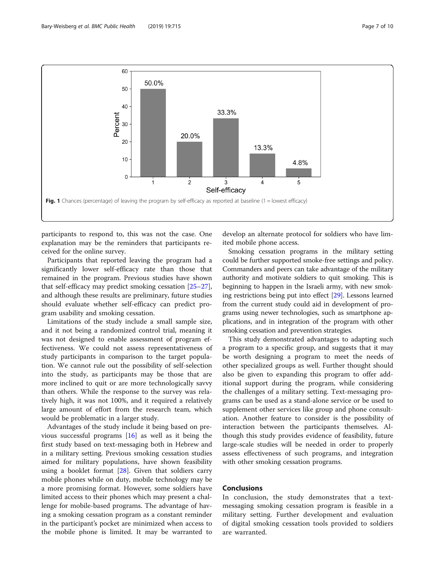<span id="page-6-0"></span>

participants to respond to, this was not the case. One explanation may be the reminders that participants received for the online survey.

Participants that reported leaving the program had a significantly lower self-efficacy rate than those that remained in the program. Previous studies have shown that self-efficacy may predict smoking cessation [[25](#page-9-0)–[27](#page-9-0)], and although these results are preliminary, future studies should evaluate whether self-efficacy can predict program usability and smoking cessation.

Limitations of the study include a small sample size, and it not being a randomized control trial, meaning it was not designed to enable assessment of program effectiveness. We could not assess representativeness of study participants in comparison to the target population. We cannot rule out the possibility of self-selection into the study, as participants may be those that are more inclined to quit or are more technologically savvy than others. While the response to the survey was relatively high, it was not 100%, and it required a relatively large amount of effort from the research team, which would be problematic in a larger study.

Advantages of the study include it being based on previous successful programs [[16\]](#page-9-0) as well as it being the first study based on text-messaging both in Hebrew and in a military setting. Previous smoking cessation studies aimed for military populations, have shown feasibility using a booklet format [[28](#page-9-0)]. Given that soldiers carry mobile phones while on duty, mobile technology may be a more promising format. However, some soldiers have limited access to their phones which may present a challenge for mobile-based programs. The advantage of having a smoking cessation program as a constant reminder in the participant's pocket are minimized when access to the mobile phone is limited. It may be warranted to

develop an alternate protocol for soldiers who have limited mobile phone access.

Smoking cessation programs in the military setting could be further supported smoke-free settings and policy. Commanders and peers can take advantage of the military authority and motivate soldiers to quit smoking. This is beginning to happen in the Israeli army, with new smoking restrictions being put into effect [[29](#page-9-0)]. Lessons learned from the current study could aid in development of programs using newer technologies, such as smartphone applications, and in integration of the program with other smoking cessation and prevention strategies.

This study demonstrated advantages to adapting such a program to a specific group, and suggests that it may be worth designing a program to meet the needs of other specialized groups as well. Further thought should also be given to expanding this program to offer additional support during the program, while considering the challenges of a military setting. Text-messaging programs can be used as a stand-alone service or be used to supplement other services like group and phone consultation. Another feature to consider is the possibility of interaction between the participants themselves. Although this study provides evidence of feasibility, future large-scale studies will be needed in order to properly assess effectiveness of such programs, and integration with other smoking cessation programs.

## Conclusions

In conclusion, the study demonstrates that a textmessaging smoking cessation program is feasible in a military setting. Further development and evaluation of digital smoking cessation tools provided to soldiers are warranted.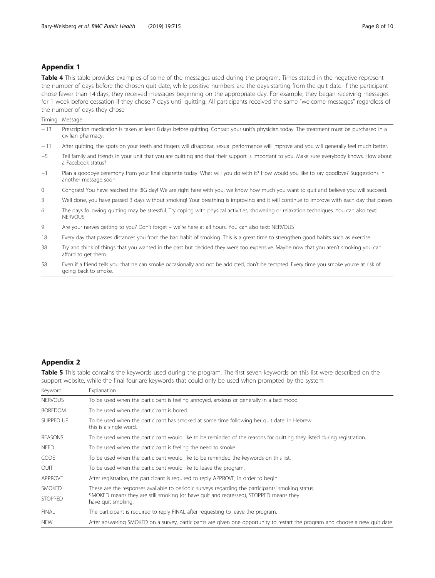## Appendix 1

Table 4 This table provides examples of some of the messages used during the program. Times stated in the negative represent the number of days before the chosen quit date, while positive numbers are the days starting from the quit date. If the participant chose fewer than 14 days, they received messages beginning on the appropriate day. For example, they began receiving messages for 1 week before cessation if they chose 7 days until quitting. All participants received the same "welcome messages" regardless of the number of days they chose

| Timing         | Message                                                                                                                                                           |
|----------------|-------------------------------------------------------------------------------------------------------------------------------------------------------------------|
| $-13$          | Prescription medication is taken at least 8 days before quitting. Contact your unit's physician today. The treatment must be purchased in a<br>civilian pharmacy. |
| $-11$          | After quitting, the spots on your teeth and fingers will disappear, sexual performance will improve and you will generally feel much better.                      |
| $-5$           | Tell family and friends in your unit that you are quitting and that their support is important to you. Make sure everybody knows. How about<br>a Facebook status? |
| $-1$           | Plan a goodbye ceremony from your final cigarette today. What will you do with it? How would you like to say goodbye? Suggestions in<br>another message soon.     |
| $\overline{0}$ | Congrats! You have reached the BIG day! We are right here with you, we know how much you want to quit and believe you will succeed.                               |
| 3              | Well done, you have passed 3 days without smoking! Your breathing is improving and it will continue to improve with each day that passes.                         |
| 6              | The days following quitting may be stressful. Try coping with physical activities, showering or relaxation techniques. You can also text:<br><b>NERVOUS</b>       |
| 9              | Are your nerves getting to you? Don't forget – we're here at all hours. You can also text: NERVOUS                                                                |
| 18             | Every day that passes distances you from the bad habit of smoking. This is a great time to strengthen good habits such as exercise.                               |
| 38             | Try and think of things that you wanted in the past but decided they were too expensive. Maybe now that you aren't smoking you can<br>afford to get them.         |
| 58             | Even if a friend tells you that he can smoke occasionally and not be addicted, don't be tempted. Every time you smoke you're at risk of<br>going back to smoke.   |

## Appendix 2

Table 5 This table contains the keywords used during the program. The first seven keywords on this list were described on the support website, while the final four are keywords that could only be used when prompted by the system

| Keyword        | Explanation                                                                                                                   |
|----------------|-------------------------------------------------------------------------------------------------------------------------------|
| <b>NERVOUS</b> | To be used when the participant is feeling annoyed, anxious or generally in a bad mood.                                       |
| <b>BOREDOM</b> | To be used when the participant is bored.                                                                                     |
| SLIPPED UP     | To be used when the participant has smoked at some time following her quit date. In Hebrew,<br>this is a single word.         |
| <b>REASONS</b> | To be used when the participant would like to be reminded of the reasons for quitting they listed during registration.        |
| <b>NEED</b>    | To be used when the participant is feeling the need to smoke.                                                                 |
| <b>CODE</b>    | To be used when the participant would like to be reminded the keywords on this list.                                          |
| <b>QUIT</b>    | To be used when the participant would like to leave the program.                                                              |
| <b>APPROVE</b> | After registration, the participant is reguired to reply APPROVE, in order to begin.                                          |
| <b>SMOKED</b>  | These are the responses available to periodic surveys regarding the participants' smoking status.                             |
| <b>STOPPED</b> | SMOKED means they are still smoking (or have quit and regressed), STOPPED means they<br>have quit smoking.                    |
| <b>FINAL</b>   | The participant is required to reply FINAL after requesting to leave the program.                                             |
| <b>NEW</b>     | After answering SMOKED on a survey, participants are given one opportunity to restart the program and choose a new quit date. |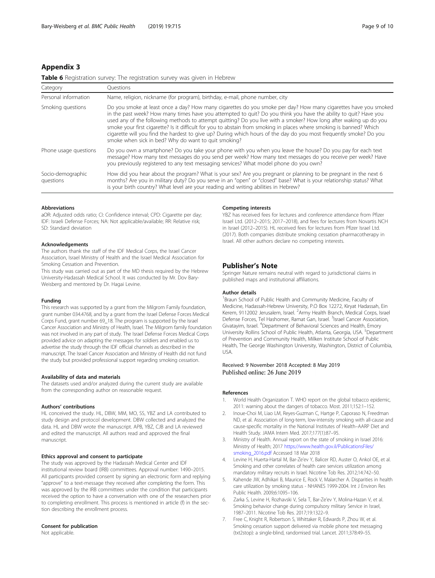## <span id="page-8-0"></span>Appendix 3

| Table 6 Registration survey: The registration survey was given in Hebrew |  |  |
|--------------------------------------------------------------------------|--|--|
|                                                                          |  |  |

| Category                       | Ouestions                                                                                                                                                                                                                                                                                                                                                                                                                                                                                                                                                                                                                                                      |
|--------------------------------|----------------------------------------------------------------------------------------------------------------------------------------------------------------------------------------------------------------------------------------------------------------------------------------------------------------------------------------------------------------------------------------------------------------------------------------------------------------------------------------------------------------------------------------------------------------------------------------------------------------------------------------------------------------|
| Personal information           | Name, religion, nickname (for program), birthday, e-mail, phone number, city                                                                                                                                                                                                                                                                                                                                                                                                                                                                                                                                                                                   |
| Smoking questions              | Do you smoke at least once a day? How many cigarettes do you smoke per day? How many cigarettes have you smoked<br>in the past week? How many times have you attempted to quit? Do you think you have the ability to quit? Have you<br>used any of the following methods to attempt quitting? Do you live with a smoker? How long after waking up do you<br>smoke your first cigarette? Is it difficult for you to abstain from smoking in places where smoking is banned? Which<br>cigarette will you find the hardest to give up? During which hours of the day do you most frequently smoke? Do you<br>smoke when sick in bed? Why do want to quit smoking? |
| Phone usage questions          | Do you own a smartphone? Do you take your phone with you when you leave the house? Do you pay for each text<br>message? How many text messages do you send per week? How many text messages do you receive per week? Have<br>you previously registered to any text messaging services? What model phone do you own?                                                                                                                                                                                                                                                                                                                                            |
| Socio-demographic<br>questions | How did you hear about the program? What is your sex? Are you pregnant or planning to be pregnant in the next 6<br>months? Are you in military duty? Do you serve in an "open" or "closed" base? What is your relationship status? What<br>is your birth country? What level are your reading and writing abilities in Hebrew?                                                                                                                                                                                                                                                                                                                                 |

#### Abbreviations

aOR: Adjusted odds ratio; CI: Confidence interval; CPD: Cigarette per day; IDF: Israeli Defense Forces; NA: Not applicable/available; RR: Relative risk; SD: Standard deviation

#### Acknowledgements

The authors thank the staff of the IDF Medical Corps, the Israel Cancer Association, Israel Ministry of Health and the Israel Medical Association for Smoking Cessation and Prevention.

This study was carried out as part of the MD thesis required by the Hebrew University-Hadassah Medical School. It was conducted by Mr. Dov Bary-Weisberg and mentored by Dr. Hagai Levine.

#### Funding

This research was supported by a grant from the Milgrom Family foundation, grant number 034.4768, and by a grant from the Israel Defense Forces Medical Corps Fund, grant number 69\_18. The program is supported by the Israel Cancer Association and Ministry of Health, Israel. The Milgrom family foundation was not involved in any part of study. The Israel Defense Forces Medical Corps provided advice on adapting the messages for soldiers and enabled us to advertise the study through the IDF official channels as described in the manuscript. The Israel Cancer Association and Ministry of Health did not fund the study but provided professional support regarding smoking cessation.

## Availability of data and materials

The datasets used and/or analyzed during the current study are available from the corresponding author on reasonable request.

#### Authors' contributions

HL conceived the study. HL, DBW, MM, MO, SS, YBZ and LA contributed to study design and protocol development. DBW collected and analyzed the data. HL and DBW wrote the manuscript. APB, YBZ, CJB and LA reviewed and edited the manuscript. All authors read and approved the final manuscript.

#### Ethics approval and consent to participate

The study was approved by the Hadassah Medical Center and IDF institutional review board (IRB) committees. Approval number: 1490–2015. All participants provided consent by signing an electronic form and replying "approve" to a text-message they received after completing the form. This was approved by the IRB committees under the condition that participants received the option to have a conversation with one of the researchers prior to completing enrollment. This process is mentioned in article (f) in the section describing the enrollment process.

## Consent for publication

Not applicable.

#### Competing interests

YBZ has received fees for lectures and conference attendance from Pfizer Israel Ltd. (2012–2015; 2017–2018), and fees for lectures from Novartis NCH in Israel (2012–2015). HL received fees for lectures from Pfizer Israel Ltd. (2017). Both companies distribute smoking cessation pharmacotherapy in Israel. All other authors declare no competing interests.

## Publisher's Note

Springer Nature remains neutral with regard to jurisdictional claims in published maps and institutional affiliations.

#### Author details

<sup>1</sup> Braun School of Public Health and Community Medicine, Faculty of Medicine, Hadassah-Hebrew University, P.O Box 12272, Kiryat Hadassah, Ein Kerem, 9112002 Jerusalem, Israel. <sup>2</sup>Army Health Branch, Medical Corps, Israel Defense Forces, Tel Hashomer, Ramat Gan, Israel. <sup>3</sup>Israel Cancer Association Givatayim, Israel. <sup>4</sup>Department of Behavioral Sciences and Health, Emory University Rollins School of Public Health, Atlanta, Georgia, USA. <sup>5</sup>Department of Prevention and Community Health, Milken Institute School of Public Health, The George Washington University, Washington, District of Columbia, USA.

## Received: 9 November 2018 Accepted: 8 May 2019

#### References

- World Health Organization T. WHO report on the global tobacco epidemic, 2011: warning about the dangers of tobacco. Most. 2011;152:1–152.
- 2. Inoue-Choi M, Liao LM, Reyes-Guzman C, Hartge P, Caporaso N, Freedman ND, et al. Association of long-term, low-intensity smoking with all-cause and cause-specific mortality in the National Institutes of Health–AARP Diet and Health Study. JAMA Intern Med. 2017;177(1):87–95.
- 3. Ministry of Health. Annual report on the state of smoking in Israel 2016: Ministry of Health; 2017 [https://www.health.gov.il/PublicationsFiles/](https://www.health.gov.il/PublicationsFiles/smoking_2016.pdf) [smoking\\_2016.pdf](https://www.health.gov.il/PublicationsFiles/smoking_2016.pdf) Accessed 18 Mar 2018
- 4. Levine H, Huerta-Hartal M, Bar-Ze'ev Y, Balicer RD, Auster O, Ankol OE, et al. Smoking and other correlates of health care services utilization among mandatory military recruits in Israel. Nicotine Tob Res. 2012;14:742–50.
- Kahende JW, Adhikari B, Maurice E, Rock V, Malarcher A. Disparities in health care utilization by smoking status - NHANES 1999-2004. Int J Environ Res Public Health. 2009;6:1095–106.
- 6. Zarka S, Levine H, Rozhavski V, Sela T, Bar-Ze'ev Y, Molina-Hazan V, et al. Smoking behavior change during compulsory military Service in Israel, 1987–2011. Nicotine Tob Res. 2017;19:1322–9.
- 7. Free C, Knight R, Robertson S, Whittaker R, Edwards P, Zhou W, et al. Smoking cessation support delivered via mobile phone text messaging (txt2stop): a single-blind, randomised trial. Lancet. 2011;378:49–55.